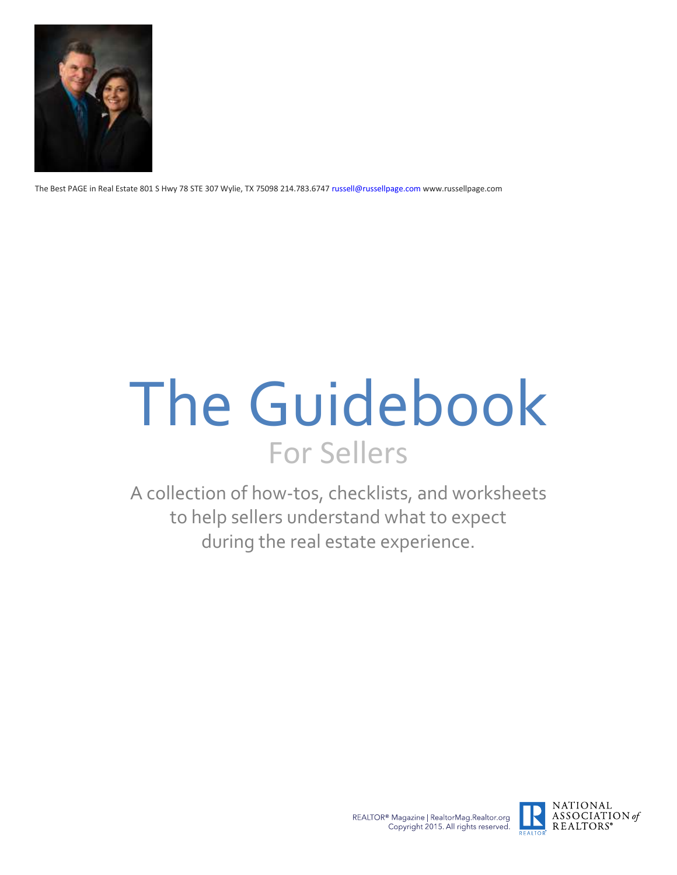

The Best PAGE in Real Estate 801 S Hwy 78 STE 307 Wylie, TX 75098 214.783.6747 russell@russellpage.com www.russellpage.com

# The Guidebook For Sellers

A collection of how-tos, checklists, and worksheets to help sellers understand what to expect during the real estate experience.



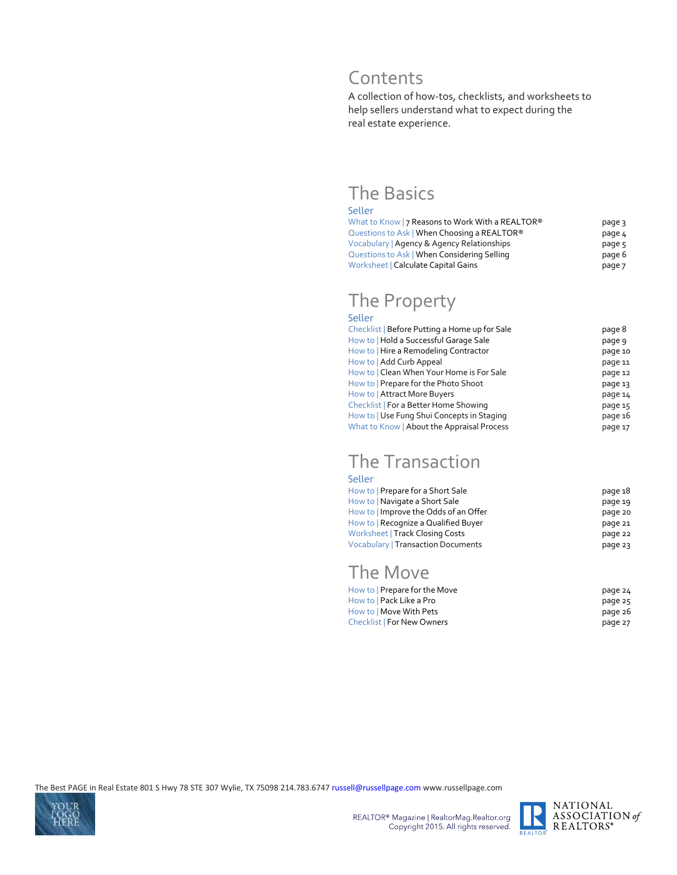### Contents

A collection of how-tos, checklists, and worksheets to help sellers understand what to expect during the real estate experience.

### The Basics

#### Seller

| What to Know   7 Reasons to Work With a REALTOR <sup>®</sup> | page 3 |
|--------------------------------------------------------------|--------|
| Questions to Ask   When Choosing a REALTOR®                  | page 4 |
| Vocabulary   Agency & Agency Relationships                   | page 5 |
| Questions to Ask   When Considering Selling                  | page 6 |
| Worksheet   Calculate Capital Gains                          | page 7 |

### The Property

#### Seller

| Checklist   Before Putting a Home up for Sale | page 8  |
|-----------------------------------------------|---------|
| How to   Hold a Successful Garage Sale        | page 9  |
| How to   Hire a Remodeling Contractor         | page 10 |
| How to   Add Curb Appeal                      | page 11 |
| How to   Clean When Your Home is For Sale     | page 12 |
| How to   Prepare for the Photo Shoot          | page 13 |
| How to   Attract More Buyers                  | page 14 |
| Checklist   For a Better Home Showing         | page 15 |
| How to   Use Fung Shui Concepts in Staging    | page 16 |
| What to Know   About the Appraisal Process    | page 17 |

### The Transaction

| Seller                                    |         |
|-------------------------------------------|---------|
| How to   Prepare for a Short Sale         | page 18 |
| How to   Navigate a Short Sale            | page 19 |
| How to   Improve the Odds of an Offer     | page 20 |
| How to   Recognize a Qualified Buyer      | page 21 |
| Worksheet   Track Closing Costs           | page 22 |
| <b>Vocabulary   Transaction Documents</b> | page 23 |
|                                           |         |

### The Move

| How to   Prepare for the Move     | page 24 |
|-----------------------------------|---------|
| How to   Pack Like a Pro          | page 25 |
| How to   Move With Pets           | page 26 |
| <b>Checklist   For New Owners</b> | page 27 |



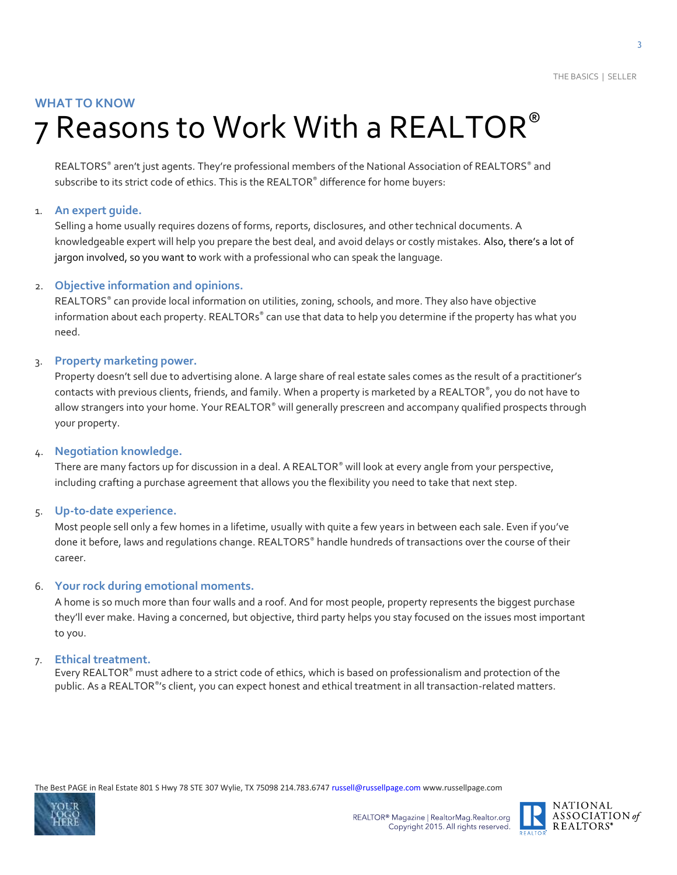#### **WHAT TO KNOW**

## 7 Reasons to Work With a REALTOR®

REALTORS ® aren't just agents. They're professional members of the National Association of REALTORS® and subscribe to its strict code of ethics. This is the REALTOR® difference for home buyers:

#### 1. **An expert guide.**

Selling a home usually requires dozens of forms, reports, disclosures, and other technical documents. A knowledgeable expert will help you prepare the best deal, and avoid delays or costly mistakes. Also, there's a lot of jargon involved, so you want to work with a professional who can speak the language.

#### 2. **Objective information and opinions.**

REALTORS® can provide local information on utilities, zoning, schools, and more. They also have objective information about each property. REALTORs® can use that data to help you determine if the property has what you need.

#### 3. **Property marketing power.**

Property doesn't sell due to advertising alone. A large share of real estate sales comes as the result of a practitioner's contacts with previous clients, friends, and family. When a property is marketed by a REALTOR®, you do not have to allow strangers into your home. Your REALTOR® will generally prescreen and accompany qualified prospects through your property.

#### 4. **Negotiation knowledge.**

There are many factors up for discussion in a deal. A REALTOR® will look at every angle from your perspective, including crafting a purchase agreement that allows you the flexibility you need to take that next step.

5. **Up-to-date experience.**

Most people sell only a few homes in a lifetime, usually with quite a few years in between each sale. Even if you've done it before, laws and regulations change. REALTORS® handle hundreds of transactions over the course of their career.

#### 6. **Your rock during emotional moments.**

A home is so much more than four walls and a roof. And for most people, property represents the biggest purchase they'll ever make. Having a concerned, but objective, third party helps you stay focused on the issues most important to you.

#### 7. **Ethical treatment.**

Every REALTOR® must adhere to a strict code of ethics, which is based on professionalism and protection of the public. As a REALTOR®'s client, you can expect honest and ethical treatment in all transaction-related matters.



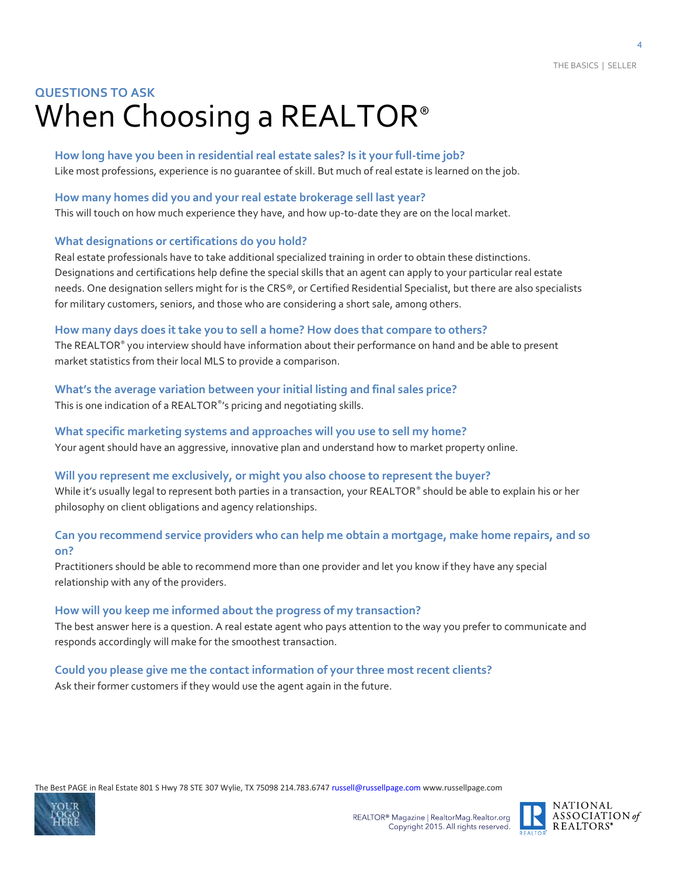### **QUESTIONS TO ASK**  When Choosing a REALTOR<sup>®</sup>

**How long have you been in residential real estate sales? Is it your full-time job?** Like most professions, experience is no guarantee of skill. But much of real estate is learned on the job.

#### **How many homes did you and your real estate brokerage sell last year?**

This will touch on how much experience they have, and how up-to-date they are on the local market.

#### **What designations or certifications do you hold?**

Real estate professionals have to take additional specialized training in order to obtain these distinctions. Designations and certifications help define the special skills that an agent can apply to your particular real estate needs. One designation sellers might for is the CRS®, or Certified Residential Specialist, but there are also specialists for military customers, seniors, and those who are considering a short sale, among others.

#### **How many days does it take you to sell a home? How does that compare to others?**

The REALTOR® you interview should have information about their performance on hand and be able to present market statistics from their local MLS to provide a comparison.

#### **What's the average variation between your initial listing and final sales price?**

This is one indication of a REALTOR® 's pricing and negotiating skills.

**What specific marketing systems and approaches will you use to sell my home?** Your agent should have an aggressive, innovative plan and understand how to market property online.

#### **Will you represent me exclusively, or might you also choose to represent the buyer?**

While it's usually legal to represent both parties in a transaction, your REALTOR® should be able to explain his or her philosophy on client obligations and agency relationships.

#### **Can you recommend service providers who can help me obtain a mortgage, make home repairs, and so on?**

Practitioners should be able to recommend more than one provider and let you know if they have any special relationship with any of the providers.

#### **How will you keep me informed about the progress of my transaction?**

The best answer here is a question. A real estate agent who pays attention to the way you prefer to communicate and responds accordingly will make for the smoothest transaction.

### **Could you please give me the contact information of your three most recent clients?**

Ask their former customers if they would use the agent again in the future.



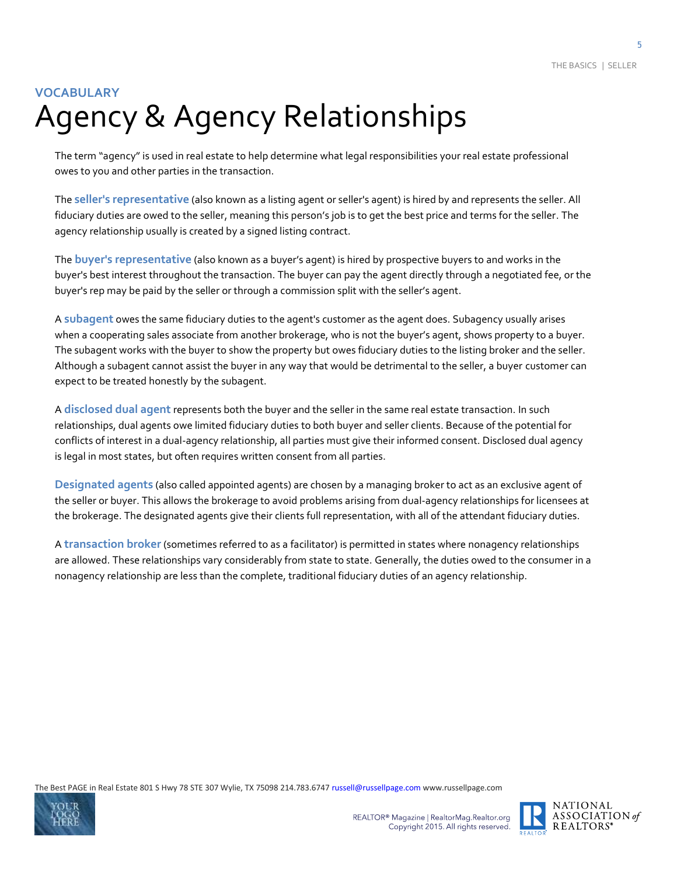### **VOCABULARY** Agency & Agency Relationships

The term "agency" is used in real estate to help determine what legal responsibilities your real estate professional owes to you and other parties in the transaction.

The **seller's representative** (also known as a listing agent or seller's agent) is hired by and represents the seller. All fiduciary duties are owed to the seller, meaning this person's job is to get the best price and terms for the seller. The agency relationship usually is created by a signed listing contract.

The **buyer's representative** (also known as a buyer's agent) is hired by prospective buyers to and works in the buyer's best interest throughout the transaction. The buyer can pay the agent directly through a negotiated fee, or the buyer's rep may be paid by the seller or through a commission split with the seller's agent.

A **subagent** owes the same fiduciary duties to the agent's customer as the agent does. Subagency usually arises when a cooperating sales associate from another brokerage, who is not the buyer's agent, shows property to a buyer. The subagent works with the buyer to show the property but owes fiduciary duties to the listing broker and the seller. Although a subagent cannot assist the buyer in any way that would be detrimental to the seller, a buyer customer can expect to be treated honestly by the subagent.

A **disclosed dual agent** represents both the buyer and the seller in the same real estate transaction. In such relationships, dual agents owe limited fiduciary duties to both buyer and seller clients. Because of the potential for conflicts of interest in a dual-agency relationship, all parties must give their informed consent. Disclosed dual agency is legal in most states, but often requires written consent from all parties.

**Designated agents** (also called appointed agents) are chosen by a managing broker to act as an exclusive agent of the seller or buyer. This allows the brokerage to avoid problems arising from dual-agency relationships for licensees at the brokerage. The designated agents give their clients full representation, with all of the attendant fiduciary duties.

A **transaction broker** (sometimes referred to as a facilitator) is permitted in states where nonagency relationships are allowed. These relationships vary considerably from state to state. Generally, the duties owed to the consumer in a nonagency relationship are less than the complete, traditional fiduciary duties of an agency relationship.





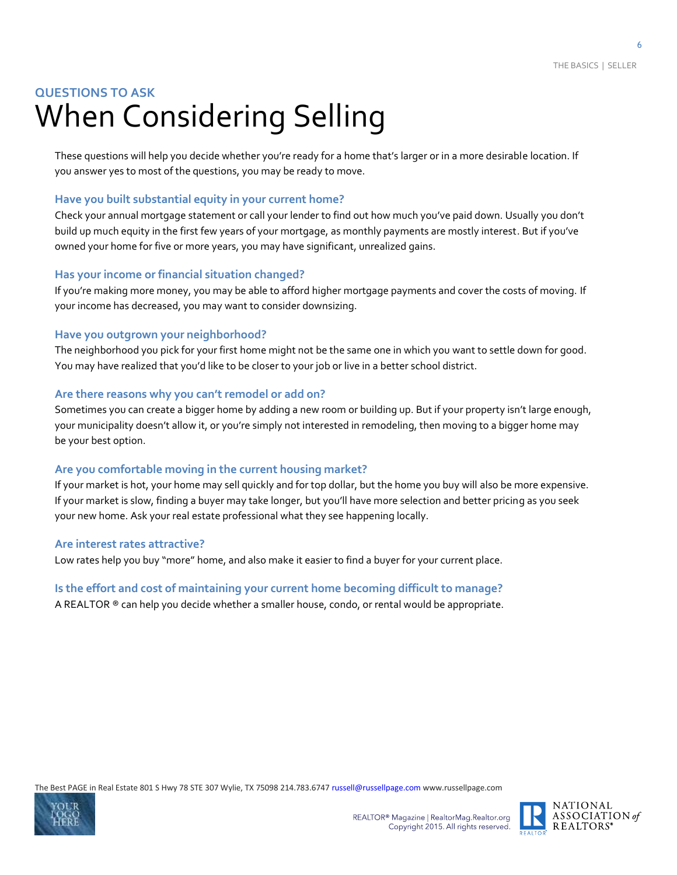### **QUESTIONS TO ASK** When Considering Selling

These questions will help you decide whether you're ready for a home that's larger or in a more desirable location. If you answer yes to most of the questions, you may be ready to move.

#### **Have you built substantial equity in your current home?**

Check your annual mortgage statement or call your lender to find out how much you've paid down. Usually you don't build up much equity in the first few years of your mortgage, as monthly payments are mostly interest. But if you've owned your home for five or more years, you may have significant, unrealized gains.

#### **Has your income or financial situation changed?**

If you're making more money, you may be able to afford higher mortgage payments and cover the costs of moving. If your income has decreased, you may want to consider downsizing.

#### **Have you outgrown your neighborhood?**

The neighborhood you pick for your first home might not be the same one in which you want to settle down for good. You may have realized that you'd like to be closer to your job or live in a better school district.

#### **Are there reasons why you can't remodel or add on?**

Sometimes you can create a bigger home by adding a new room or building up. But if your property isn't large enough, your municipality doesn't allow it, or you're simply not interested in remodeling, then moving to a bigger home may be your best option.

#### **Are you comfortable moving in the current housing market?**

If your market is hot, your home may sell quickly and for top dollar, but the home you buy will also be more expensive. If your market is slow, finding a buyer may take longer, but you'll have more selection and better pricing as you seek your new home. Ask your real estate professional what they see happening locally.

#### **Are interest rates attractive?**

Low rates help you buy "more" home, and also make it easier to find a buyer for your current place.

#### **Is the effort and cost of maintaining your current home becoming difficult to manage?**

A REALTOR ® can help you decide whether a smaller house, condo, or rental would be appropriate.



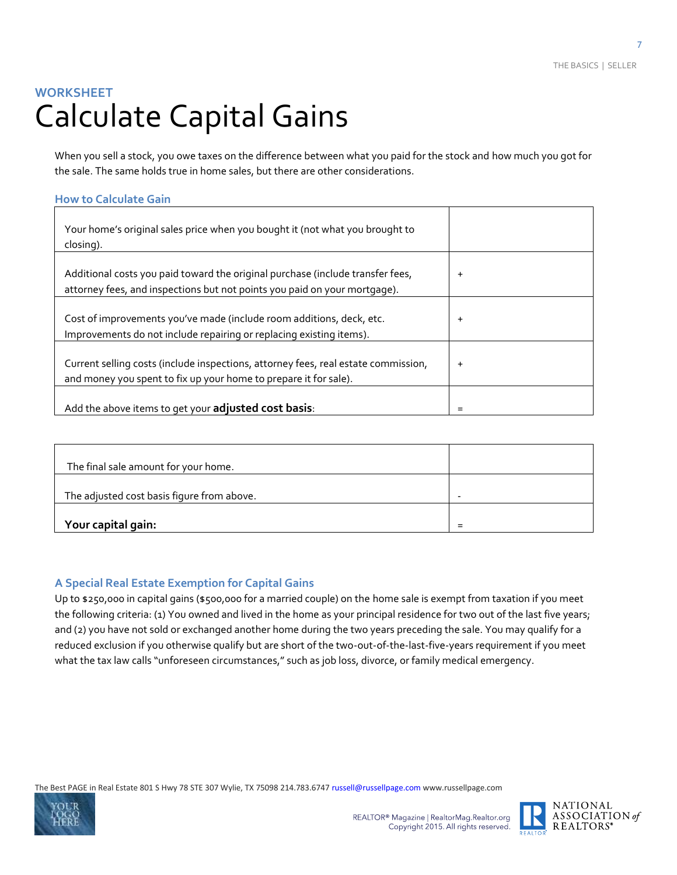### **WORKSHEET** Calculate Capital Gains

When you sell a stock, you owe taxes on the difference between what you paid for the stock and how much you got for the sale. The same holds true in home sales, but there are other considerations.

#### **How to Calculate Gain**

| Your home's original sales price when you bought it (not what you brought to<br>closing).                                                                   |           |
|-------------------------------------------------------------------------------------------------------------------------------------------------------------|-----------|
| Additional costs you paid toward the original purchase (include transfer fees,<br>attorney fees, and inspections but not points you paid on your mortgage). | $\ddot{}$ |
| Cost of improvements you've made (include room additions, deck, etc.<br>Improvements do not include repairing or replacing existing items).                 | $\ddot{}$ |
| Current selling costs (include inspections, attorney fees, real estate commission,<br>and money you spent to fix up your home to prepare it for sale).      | $\ddot{}$ |
| Add the above items to get your adjusted cost basis:                                                                                                        | =         |

| The final sale amount for your home.       |  |
|--------------------------------------------|--|
| The adjusted cost basis figure from above. |  |
| Your capital gain:                         |  |

#### **A Special Real Estate Exemption for Capital Gains**

Up to \$250,000 in capital gains (\$500,000 for a married couple) on the home sale is exempt from taxation if you meet the following criteria: (1) You owned and lived in the home as your principal residence for two out of the last five years; and (2) you have not sold or exchanged another home during the two years preceding the sale. You may qualify for a reduced exclusion if you otherwise qualify but are short of the two-out-of-the-last-five-years requirement if you meet what the tax law calls "unforeseen circumstances," such as job loss, divorce, or family medical emergency.



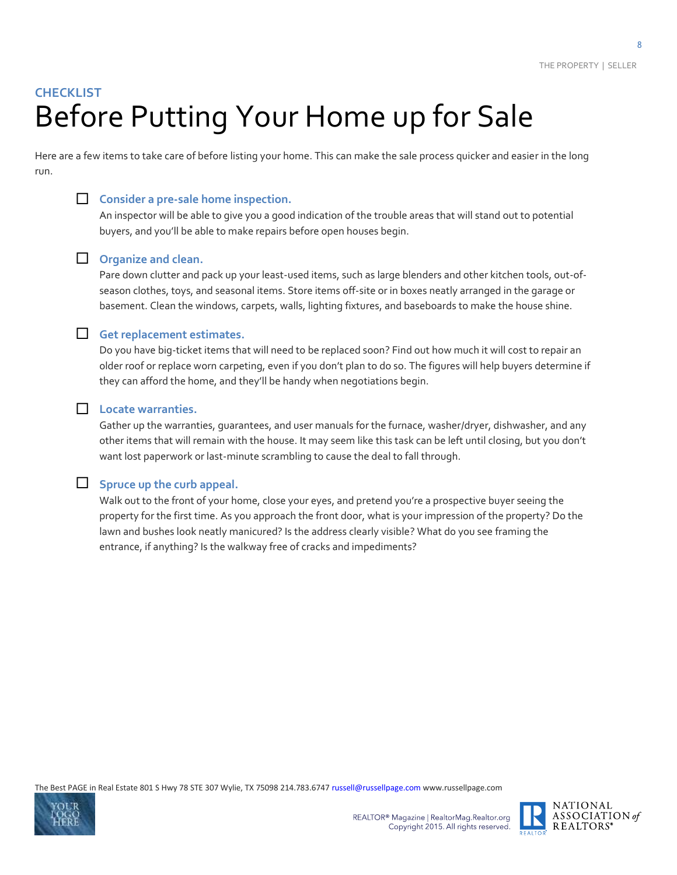### **CHECKLIST** Before Putting Your Home up for Sale

Here are a few items to take care of before listing your home. This can make the sale process quicker and easier in the long run.



#### **Consider a pre-sale home inspection.**

An inspector will be able to give you a good indication of the trouble areas that will stand out to potential buyers, and you'll be able to make repairs before open houses begin.

#### **D** Organize and clean.

Pare down clutter and pack up your least-used items, such as large blenders and other kitchen tools, out-ofseason clothes, toys, and seasonal items. Store items off-site or in boxes neatly arranged in the garage or basement. Clean the windows, carpets, walls, lighting fixtures, and baseboards to make the house shine.

#### **Get replacement estimates.**

Do you have big-ticket items that will need to be replaced soon? Find out how much it will cost to repair an older roof or replace worn carpeting, even if you don't plan to do so. The figures will help buyers determine if they can afford the home, and they'll be handy when negotiations begin.

#### **Locate warranties.**

Gather up the warranties, guarantees, and user manuals for the furnace, washer/dryer, dishwasher, and any other items that will remain with the house. It may seem like this task can be left until closing, but you don't want lost paperwork or last-minute scrambling to cause the deal to fall through.

#### **Letter** Spruce up the curb appeal.

Walk out to the front of your home, close your eyes, and pretend you're a prospective buyer seeing the property for the first time. As you approach the front door, what is your impression of the property? Do the lawn and bushes look neatly manicured? Is the address clearly visible? What do you see framing the entrance, if anything? Is the walkway free of cracks and impediments?



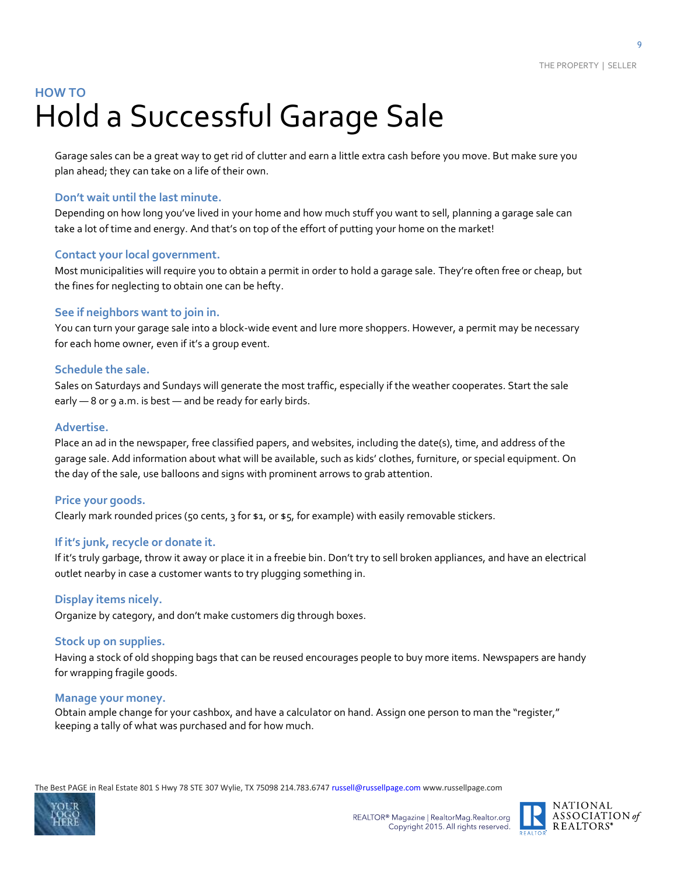### **HOW TO** Hold a Successful Garage Sale

Garage sales can be a great way to get rid of clutter and earn a little extra cash before you move. But make sure you plan ahead; they can take on a life of their own.

#### **Don't wait until the last minute.**

Depending on how long you've lived in your home and how much stuff you want to sell, planning a garage sale can take a lot of time and energy. And that's on top of the effort of putting your home on the market!

#### **Contact your local government.**

Most municipalities will require you to obtain a permit in order to hold a garage sale. They're often free or cheap, but the fines for neglecting to obtain one can be hefty.

#### **See if neighbors want to join in.**

You can turn your garage sale into a block-wide event and lure more shoppers. However, a permit may be necessary for each home owner, even if it's a group event.

#### **Schedule the sale.**

Sales on Saturdays and Sundays will generate the most traffic, especially if the weather cooperates. Start the sale early - 8 or 9 a.m. is best - and be ready for early birds.

#### **Advertise.**

Place an ad in the newspaper, free classified papers, and websites, including the date(s), time, and address of the garage sale. Add information about what will be available, such as kids' clothes, furniture, or special equipment. On the day of the sale, use balloons and signs with prominent arrows to grab attention.

#### **Price your goods.**

Clearly mark rounded prices (50 cents, 3 for \$1, or \$5, for example) with easily removable stickers.

#### **If it's junk, recycle or donate it.**

If it's truly garbage, throw it away or place it in a freebie bin. Don't try to sell broken appliances, and have an electrical outlet nearby in case a customer wants to try plugging something in.

#### **Display items nicely.**

Organize by category, and don't make customers dig through boxes.

#### **Stock up on supplies.**

Having a stock of old shopping bags that can be reused encourages people to buy more items. Newspapers are handy for wrapping fragile goods.

#### **Manage your money.**

Obtain ample change for your cashbox, and have a calculator on hand. Assign one person to man the "register," keeping a tally of what was purchased and for how much.



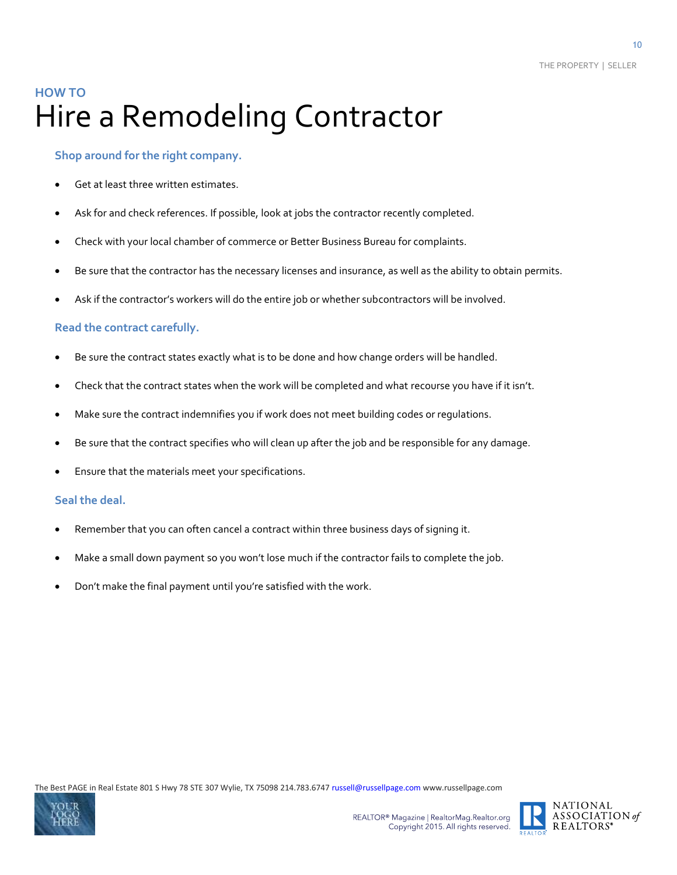### **HOW TO** Hire a Remodeling Contractor

#### **Shop around for the right company.**

- Get at least three written estimates.
- Ask for and check references. If possible, look at jobs the contractor recently completed.
- Check with your local chamber of commerce or Better Business Bureau for complaints.
- Be sure that the contractor has the necessary licenses and insurance, as well as the ability to obtain permits.
- Ask if the contractor's workers will do the entire job or whether subcontractors will be involved.

#### **Read the contract carefully.**

- Be sure the contract states exactly what is to be done and how change orders will be handled.
- Check that the contract states when the work will be completed and what recourse you have if it isn't.
- Make sure the contract indemnifies you if work does not meet building codes or regulations.
- Be sure that the contract specifies who will clean up after the job and be responsible for any damage.
- Ensure that the materials meet your specifications.

#### **Seal the deal.**

- Remember that you can often cancel a contract within three business days of signing it.
- Make a small down payment so you won't lose much if the contractor fails to complete the job.
- Don't make the final payment until you're satisfied with the work.



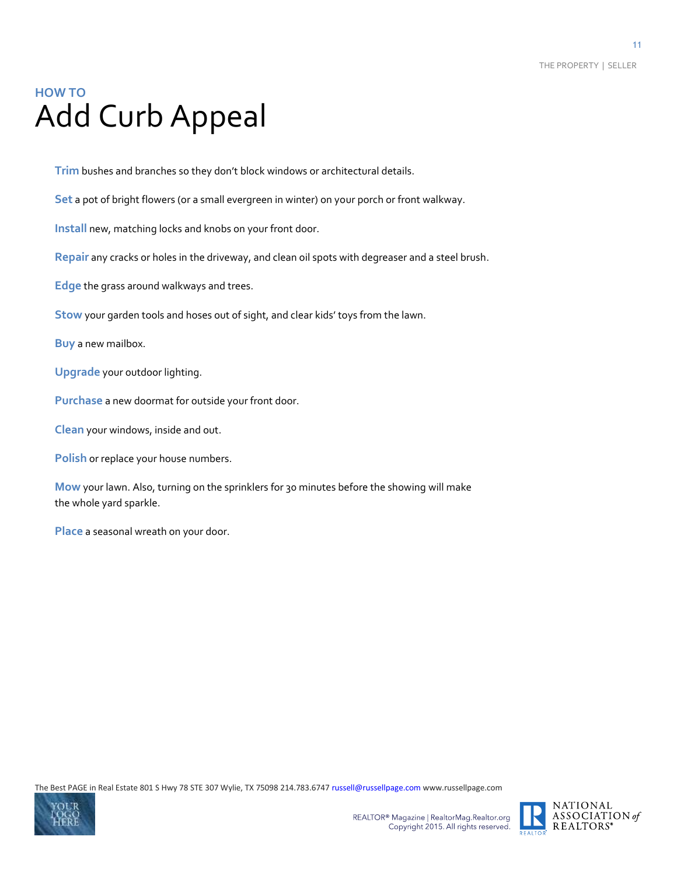### **HOW TO** Add Curb Appeal

**Trim** bushes and branches so they don't block windows or architectural details.

**Set** a pot of bright flowers (or a small evergreen in winter) on your porch or front walkway.

**Install** new, matching locks and knobs on your front door.

**Repair** any cracks or holes in the driveway, and clean oil spots with degreaser and a steel brush.

**Edge** the grass around walkways and trees.

**Stow** your garden tools and hoses out of sight, and clear kids' toys from the lawn.

**Buy** a new mailbox.

**Upgrade** your outdoor lighting.

**Purchase** a new doormat for outside your front door.

**Clean** your windows, inside and out.

**Polish** or replace your house numbers.

**Mow** your lawn. Also, turning on the sprinklers for 30 minutes before the showing will make the whole yard sparkle.

**Place** a seasonal wreath on your door.



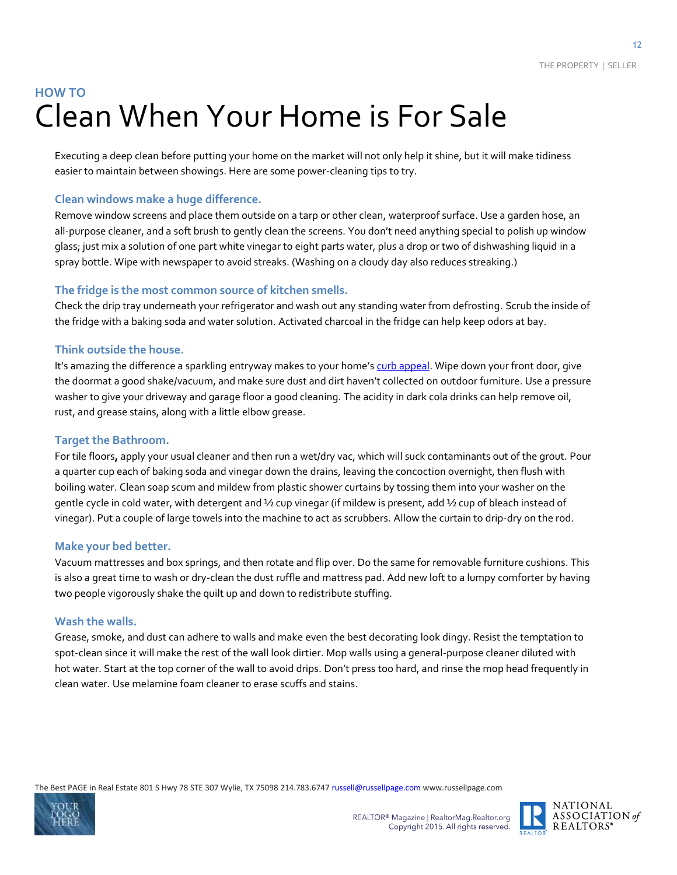### **HOW TO** Clean When Your Home is For Sale

Executing a deep clean before putting your home on the market will not only help it shine, but it will make tidiness easier to maintain between showings. Here are some power-cleaning tips to try.

#### **Clean windows make a huge difference.**

Remove window screens and place them outside on a tarp or other clean, waterproof surface. Use a garden hose, an all-purpose cleaner, and a soft brush to gently clean the screens. You don't need anything special to polish up window glass; just mix a solution of one part white vinegar to eight parts water, plus a drop or two of dishwashing liquid in a spray bottle. Wipe with newspaper to avoid streaks. (Washing on a cloudy day also reduces streaking.)

#### **The fridge is the most common source of kitchen smells.**

Check the drip tray underneath your refrigerator and wash out any standing water from defrosting. Scrub the inside of the fridge with a baking soda and water solution. Activated charcoal in the fridge can help keep odors at bay.

#### **Think outside the house.**

It's amazing the difference a sparkling entryway makes to your home's [curb appeal.](http://www.houselogic.com/home-topics/curb-appeal/) Wipe down your front door, give the doormat a good shake/vacuum, and make sure dust and dirt haven't collected on outdoor furniture. Use a pressure washer to give your driveway and garage floor a good cleaning. The acidity in dark cola drinks can help remove oil, rust, and grease stains, along with a little elbow grease.

#### **Target the Bathroom.**

For tile floors**,** apply your usual cleaner and then run a wet/dry vac, which will suck contaminants out of the grout. Pour a quarter cup each of baking soda and vinegar down the drains, leaving the concoction overnight, then flush with boiling water. Clean soap scum and mildew from plastic shower curtains by tossing them into your washer on the gentle cycle in cold water, with detergent and ½ cup vinegar (if mildew is present, add ½ cup of bleach instead of vinegar). Put a couple of large towels into the machine to act as scrubbers. Allow the curtain to drip-dry on the rod.

#### **Make your bed better.**

Vacuum mattresses and box springs, and then rotate and flip over. Do the same for removable furniture cushions. This is also a great time to wash or dry-clean the dust ruffle and mattress pad. Add new loft to a lumpy comforter by having two people vigorously shake the quilt up and down to redistribute stuffing.

#### **Wash the walls.**

Grease, smoke, and dust can adhere to walls and make even the best decorating look dingy. Resist the temptation to spot-clean since it will make the rest of the wall look dirtier. Mop walls using a general-purpose cleaner diluted with hot water. Start at the top corner of the wall to avoid drips. Don't press too hard, and rinse the mop head frequently in clean water. Use melamine foam cleaner to erase scuffs and stains.





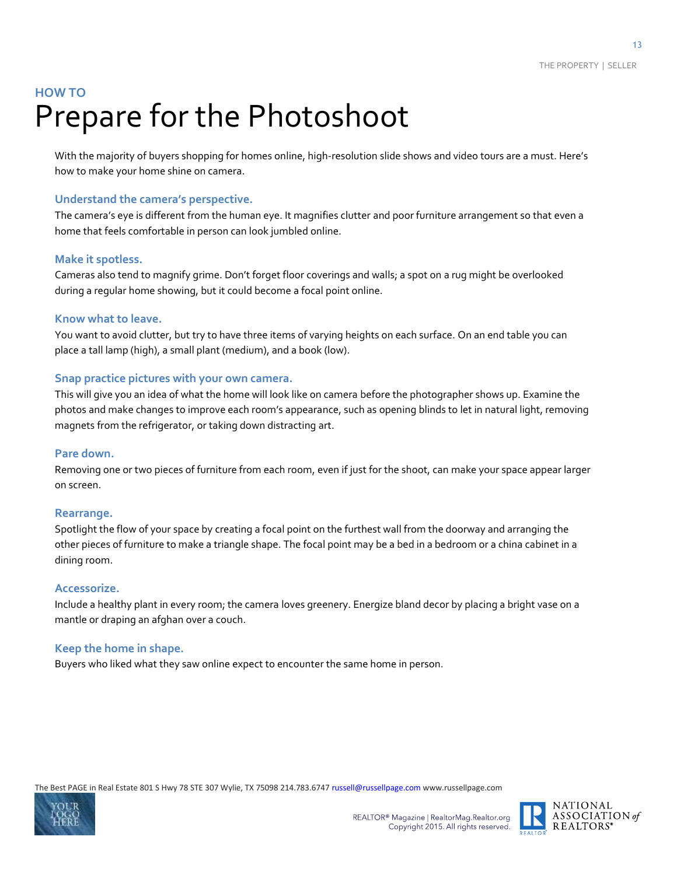### **HOW TO** Prepare for the Photoshoot

With the majority of buyers shopping for homes online, high-resolution slide shows and video tours are a must. Here's how to make your home shine on camera.

#### **Understand the camera's perspective.**

The camera's eye is different from the human eye. It magnifies clutter and poor furniture arrangement so that even a home that feels comfortable in person can look jumbled online.

#### **Make it spotless.**

Cameras also tend to magnify grime. Don't forget floor coverings and walls; a spot on a rug might be overlooked during a regular home showing, but it could become a focal point online.

#### **Know what to leave.**

You want to avoid clutter, but try to have three items of varying heights on each surface. On an end table you can place a tall lamp (high), a small plant (medium), and a book (low).

#### **Snap practice pictures with your own camera.**

This will give you an idea of what the home will look like on camera before the photographer shows up. Examine the photos and make changes to improve each room's appearance, such as opening blinds to let in natural light, removing magnets from the refrigerator, or taking down distracting art.

#### **Pare down.**

Removing one or two pieces of furniture from each room, even if just for the shoot, can make your space appear larger on screen.

#### **Rearrange.**

Spotlight the flow of your space by creating a focal point on the furthest wall from the doorway and arranging the other pieces of furniture to make a triangle shape. The focal point may be a bed in a bedroom or a china cabinet in a dining room.

#### **Accessorize.**

Include a healthy plant in every room; the camera loves greenery. Energize bland decor by placing a bright vase on a mantle or draping an afghan over a couch.

#### **Keep the home in shape.**

Buyers who liked what they saw online expect to encounter the same home in person.



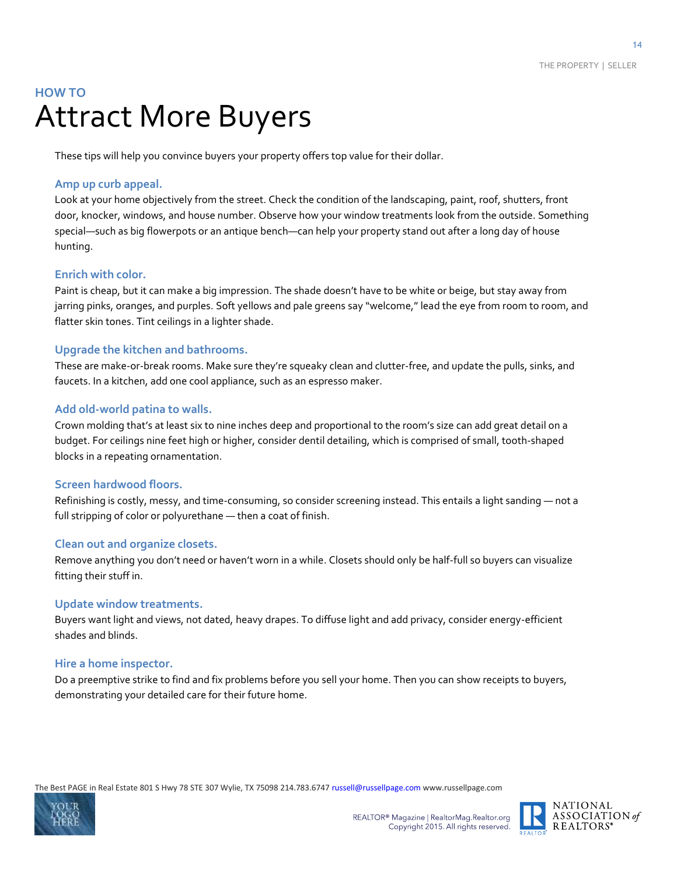### **HOW TO** Attract More Buyers

These tips will help you convince buyers your property offers top value for their dollar.

#### **Amp up curb appeal.**

Look at your home objectively from the street. Check the condition of the landscaping, paint, roof, shutters, front door, knocker, windows, and house number. Observe how your window treatments look from the outside. Something special—such as big flowerpots or an antique bench—can help your property stand out after a long day of house hunting.

#### **Enrich with color.**

Paint is cheap, but it can make a big impression. The shade doesn't have to be white or beige, but stay away from jarring pinks, oranges, and purples. Soft yellows and pale greens say "welcome," lead the eye from room to room, and flatter skin tones. Tint ceilings in a lighter shade.

#### **Upgrade the kitchen and bathrooms.**

These are make-or-break rooms. Make sure they're squeaky clean and clutter-free, and update the pulls, sinks, and faucets. In a kitchen, add one cool appliance, such as an espresso maker.

#### **Add old-world patina to walls.**

Crown molding that's at least six to nine inches deep and proportional to the room's size can add great detail on a budget. For ceilings nine feet high or higher, consider dentil detailing, which is comprised of small, tooth-shaped blocks in a repeating ornamentation.

#### **Screen hardwood floors.**

Refinishing is costly, messy, and time-consuming, so consider screening instead. This entails a light sanding — not a full stripping of color or polyurethane — then a coat of finish.

#### **Clean out and organize closets.**

Remove anything you don't need or haven't worn in a while. Closets should only be half-full so buyers can visualize fitting their stuff in.

#### **Update window treatments.**

Buyers want light and views, not dated, heavy drapes. To diffuse light and add privacy, consider energy-efficient shades and blinds.

#### **Hire a home inspector.**

Do a preemptive strike to find and fix problems before you sell your home. Then you can show receipts to buyers, demonstrating your detailed care for their future home.



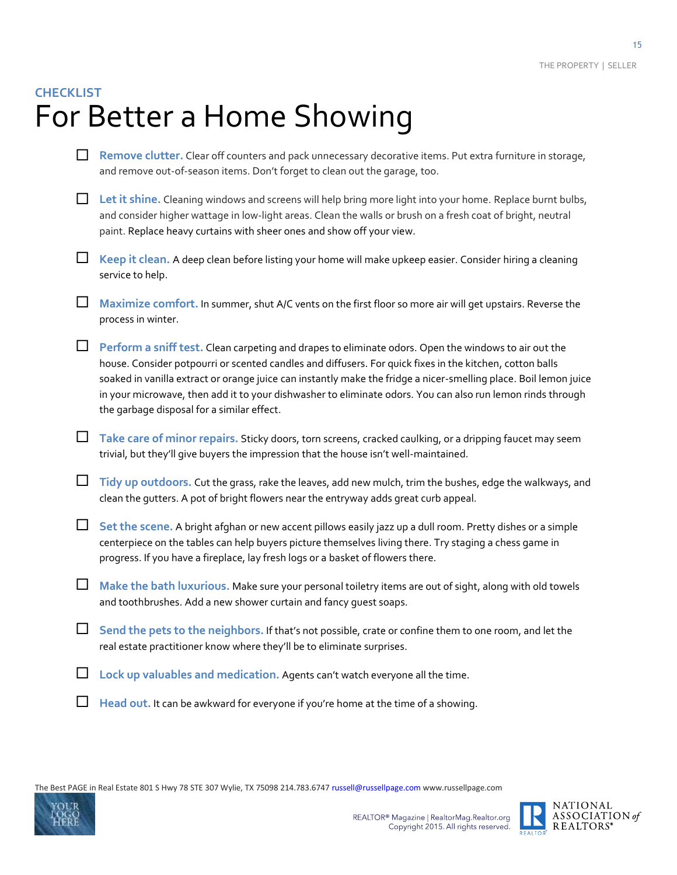### **CHECKLIST** For Better a Home Showing

- **Remove clutter.** Clear off counters and pack unnecessary decorative items. Put extra furniture in storage, and remove out-of-season items. Don't forget to clean out the garage, too.
- **Let it shine.** Cleaning windows and screens will help bring more light into your home. Replace burnt bulbs, and consider higher wattage in low-light areas. Clean the walls or brush on a fresh coat of bright, neutral paint. Replace heavy curtains with sheer ones and show off your view.
- **Keep it clean.** A deep clean before listing your home will make upkeep easier. Consider hiring a cleaning service to help.
- **Maximize comfort.** In summer, shut A/C vents on the first floor so more air will get upstairs. Reverse the process in winter.
- **Perform a sniff test.** Clean carpeting and drapes to eliminate odors. Open the windows to air out the house. Consider potpourri or scented candles and diffusers. For quick fixes in the kitchen, cotton balls soaked in vanilla extract or orange juice can instantly make the fridge a nicer-smelling place. Boil lemon juice in your microwave, then add it to your dishwasher to eliminate odors. You can also run lemon rinds through the garbage disposal for a similar effect.
- **Take care of minor repairs.** Sticky doors, torn screens, cracked caulking, or a dripping faucet may seem trivial, but they'll give buyers the impression that the house isn't well-maintained.
- **Tidy up outdoors.** Cut the grass, rake the leaves, add new mulch, trim the bushes, edge the walkways, and clean the gutters. A pot of bright flowers near the entryway adds great curb appeal.
- **Set the scene.** A bright afghan or new accent pillows easily jazz up a dull room. Pretty dishes or a simple centerpiece on the tables can help buyers picture themselves living there. Try staging a chess game in progress. If you have a fireplace, lay fresh logs or a basket of flowers there.
- **Make the bath luxurious.** Make sure your personal toiletry items are out of sight, along with old towels and toothbrushes. Add a new shower curtain and fancy guest soaps.
- **Send the pets to the neighbors.** If that's not possible, crate or confine them to one room, and let the real estate practitioner know where they'll be to eliminate surprises.
- **Lock up valuables and medication.** Agents can't watch everyone all the time.
- **Head out.** It can be awkward for everyone if you're home at the time of a showing.



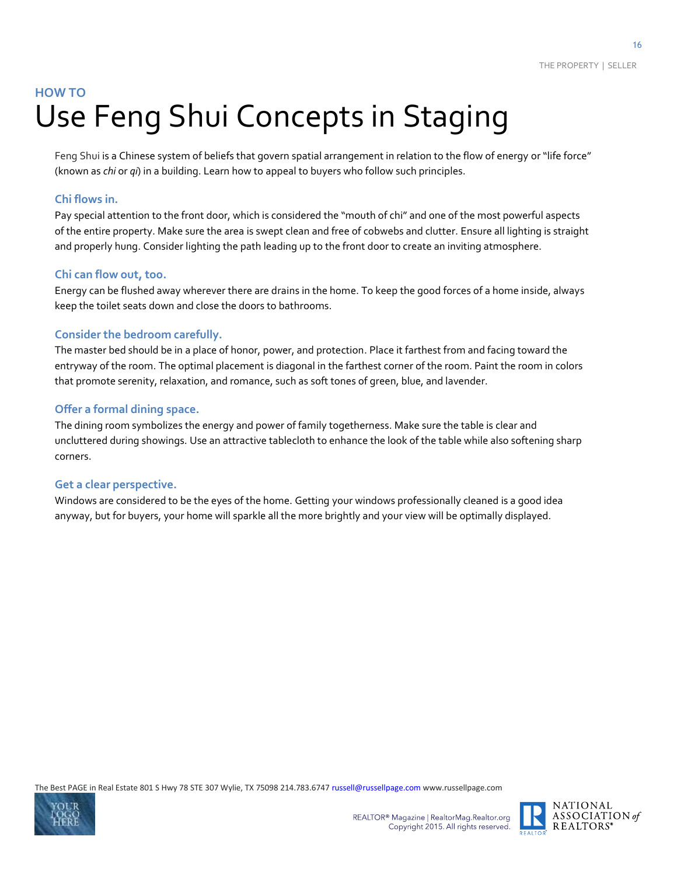### **HOW TO** Use Feng Shui Concepts in Staging

Feng Shui is a Chinese system of beliefs that govern spatial arrangement in relation to the flow of energy or "life force" (known as *chi* or *qi*) in a building. Learn how to appeal to buyers who follow such principles.

#### **Chi flows in.**

Pay special attention to the front door, which is considered the "mouth of chi" and one of the most powerful aspects of the entire property. Make sure the area is swept clean and free of cobwebs and clutter. Ensure all lighting is straight and properly hung. Consider lighting the path leading up to the front door to create an inviting atmosphere.

#### **Chi can flow out, too.**

Energy can be flushed away wherever there are drains in the home. To keep the good forces of a home inside, always keep the toilet seats down and close the doors to bathrooms.

#### **Consider the bedroom carefully.**

The master bed should be in a place of honor, power, and protection. Place it farthest from and facing toward the entryway of the room. The optimal placement is diagonal in the farthest corner of the room. Paint the room in colors that promote serenity, relaxation, and romance, such as soft tones of green, blue, and lavender.

#### **Offer a formal dining space.**

The dining room symbolizes the energy and power of family togetherness. Make sure the table is clear and uncluttered during showings. Use an attractive tablecloth to enhance the look of the table while also softening sharp corners.

#### **Get a clear perspective.**

Windows are considered to be the eyes of the home. Getting your windows professionally cleaned is a good idea anyway, but for buyers, your home will sparkle all the more brightly and your view will be optimally displayed.



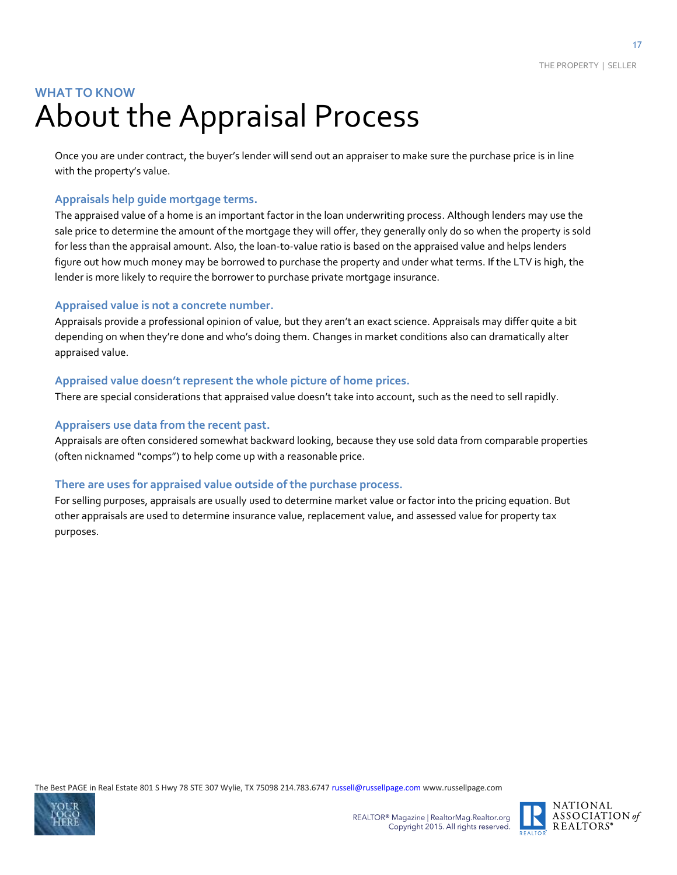### **WHAT TO KNOW** About the Appraisal Process

Once you are under contract, the buyer's lender will send out an appraiser to make sure the purchase price is in line with the property's value.

#### **Appraisals help guide mortgage terms.**

The appraised value of a home is an important factor in the loan underwriting process. Although lenders may use the sale price to determine the amount of the mortgage they will offer, they generally only do so when the property is sold for less than the appraisal amount. Also, the loan-to-value ratio is based on the appraised value and helps lenders figure out how much money may be borrowed to purchase the property and under what terms. If the LTV is high, the lender is more likely to require the borrower to purchase private mortgage insurance.

#### **Appraised value is not a concrete number.**

Appraisals provide a professional opinion of value, but they aren't an exact science. Appraisals may differ quite a bit depending on when they're done and who's doing them. Changes in market conditions also can dramatically alter appraised value.

#### **Appraised value doesn't represent the whole picture of home prices.**

There are special considerations that appraised value doesn't take into account, such as the need to sell rapidly.

#### **Appraisers use data from the recent past.**

Appraisals are often considered somewhat backward looking, because they use sold data from comparable properties (often nicknamed "comps") to help come up with a reasonable price.

#### **There are uses for appraised value outside of the purchase process.**

For selling purposes, appraisals are usually used to determine market value or factor into the pricing equation. But other appraisals are used to determine insurance value, replacement value, and assessed value for property tax purposes.



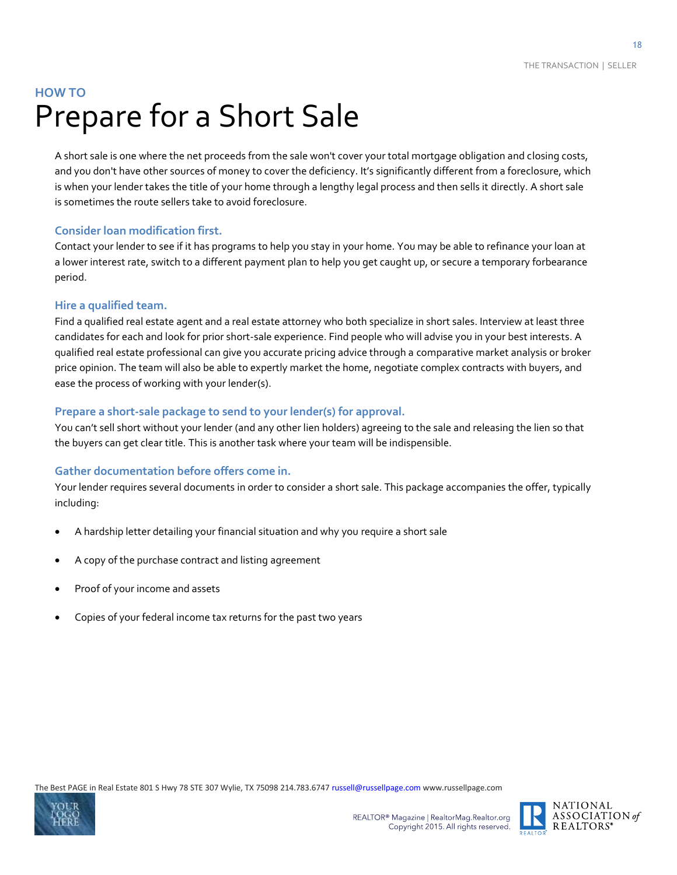### **HOW TO**  Prepare for a Short Sale

A short sale is one where the net proceeds from the sale won't cover your total mortgage obligation and closing costs, and you don't have other sources of money to cover the deficiency. It's significantly different from a foreclosure, which is when your lender takes the title of your home through a lengthy legal process and then sells it directly. A short sale is sometimes the route sellers take to avoid foreclosure.

#### **Consider loan modification first.**

Contact your lender to see if it has programs to help you stay in your home. You may be able to refinance your loan at a lower interest rate, switch to a different payment plan to help you get caught up, or secure a temporary forbearance period.

#### **Hire a qualified team.**

Find a qualified real estate agent and a real estate attorney who both specialize in short sales. Interview at least three candidates for each and look for prior short-sale experience. Find people who will advise you in your best interests. A qualified real estate professional can give you accurate pricing advice through a comparative market analysis or broker price opinion. The team will also be able to expertly market the home, negotiate complex contracts with buyers, and ease the process of working with your lender(s).

#### **Prepare a short-sale package to send to your lender(s) for approval.**

You can't sell short without your lender (and any other lien holders) agreeing to the sale and releasing the lien so that the buyers can get clear title. This is another task where your team will be indispensible.

#### **Gather documentation before offers come in.**

Your lender requires several documents in order to consider a short sale. This package accompanies the offer, typically including:

- A hardship letter detailing your financial situation and why you require a short sale
- A copy of the purchase contract and listing agreement
- Proof of your income and assets
- Copies of your federal income tax returns for the past two years



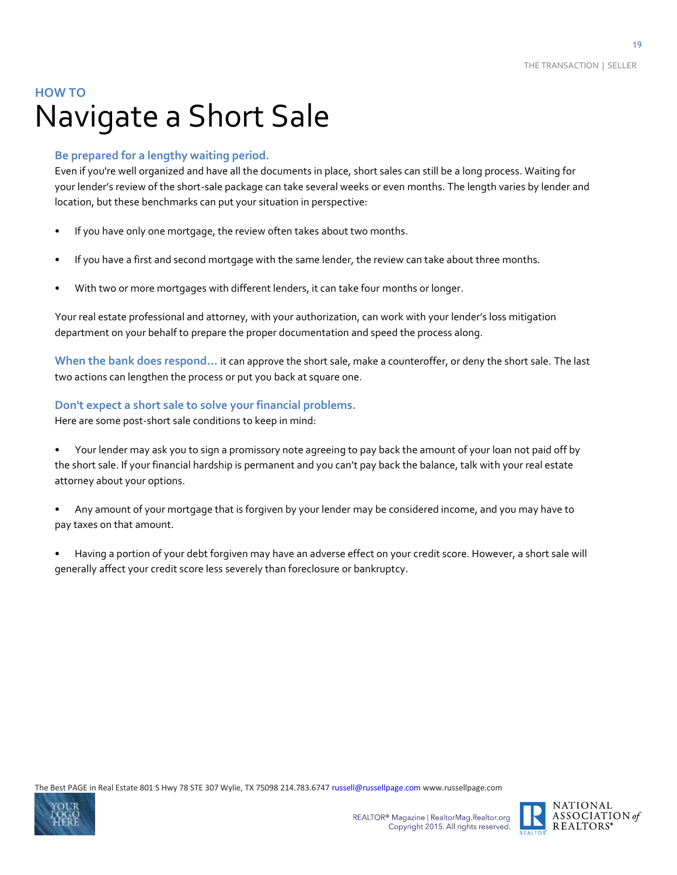### **HOW TO** Navigate a Short Sale

#### **Be prepared for a lengthy waiting period.**

Even if you're well organized and have all the documents in place, short sales can still be a long process. Waiting for your lender's review of the short-sale package can take several weeks or even months. The length varies by lender and location, but these benchmarks can put your situation in perspective:

- If you have only one mortgage, the review often takes about two months.
- If you have a first and second mortgage with the same lender, the review can take about three months.
- With two or more mortgages with different lenders, it can take four months or longer.

Your real estate professional and attorney, with your authorization, can work with your lender's loss mitigation department on your behalf to prepare the proper documentation and speed the process along.

**When the bank does respond…** it can approve the short sale, make a counteroffer, or deny the short sale. The last two actions can lengthen the process or put you back at square one.

#### **Don't expect a short sale to solve your financial problems.**

Here are some post-short sale conditions to keep in mind:

- Your lender may ask you to sign a promissory note agreeing to pay back the amount of your loan not paid off by the short sale. If your financial hardship is permanent and you can't pay back the balance, talk with your real estate attorney about your options.
- Any amount of your mortgage that is forgiven by your lender may be considered income, and you may have to pay taxes on that amount.
- Having a portion of your debt forgiven may have an adverse effect on your credit score. However, a short sale will generally affect your credit score less severely than foreclosure or bankruptcy.



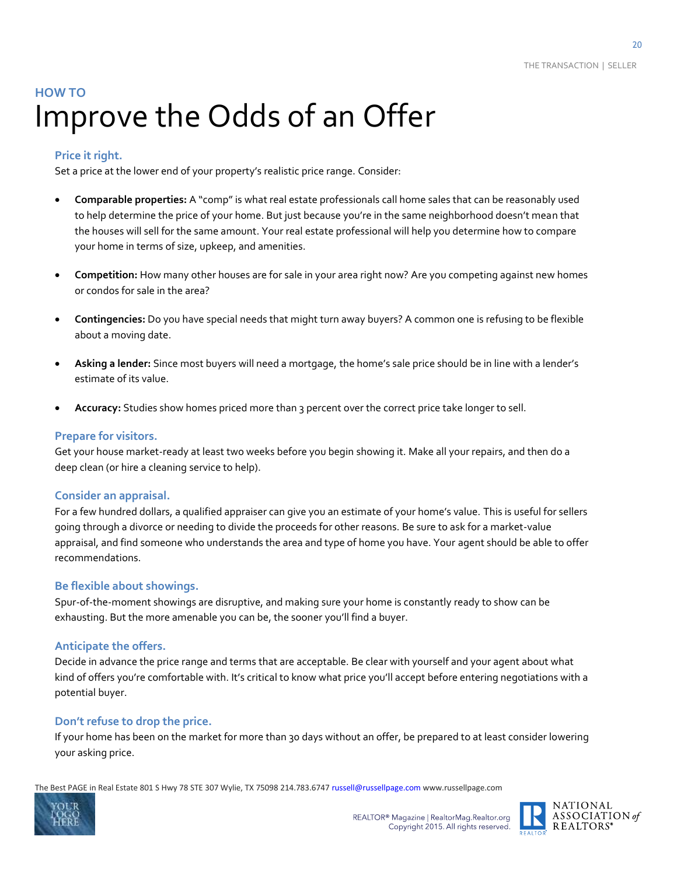### **HOW TO** Improve the Odds of an Offer

#### **Price it right.**

Set a price at the lower end of your property's realistic price range. Consider:

- **Comparable properties:** A "comp" is what real estate professionals call home sales that can be reasonably used to help determine the price of your home. But just because you're in the same neighborhood doesn't mean that the houses will sell for the same amount. Your real estate professional will help you determine how to compare your home in terms of size, upkeep, and amenities.
- **Competition:** How many other houses are for sale in your area right now? Are you competing against new homes or condos for sale in the area?
- **Contingencies:** Do you have special needs that might turn away buyers? A common one is refusing to be flexible about a moving date.
- **Asking a lender:** Since most buyers will need a mortgage, the home's sale price should be in line with a lender's estimate of its value.
- **Accuracy:** Studies show homes priced more than 3 percent over the correct price take longer to sell.

#### **Prepare for visitors.**

Get your house market-ready at least two weeks before you begin showing it. Make all your repairs, and then do a deep clean (or hire a cleaning service to help).

#### **Consider an appraisal.**

For a few hundred dollars, a qualified appraiser can give you an estimate of your home's value. This is useful for sellers going through a divorce or needing to divide the proceeds for other reasons. Be sure to ask for a market-value appraisal, and find someone who understands the area and type of home you have. Your agent should be able to offer recommendations.

#### **Be flexible about showings.**

Spur-of-the-moment showings are disruptive, and making sure your home is constantly ready to show can be exhausting. But the more amenable you can be, the sooner you'll find a buyer.

#### **Anticipate the offers.**

Decide in advance the price range and terms that are acceptable. Be clear with yourself and your agent about what kind of offers you're comfortable with. It's critical to know what price you'll accept before entering negotiations with a potential buyer.

#### **Don't refuse to drop the price.**

If your home has been on the market for more than 30 days without an offer, be prepared to at least consider lowering your asking price.



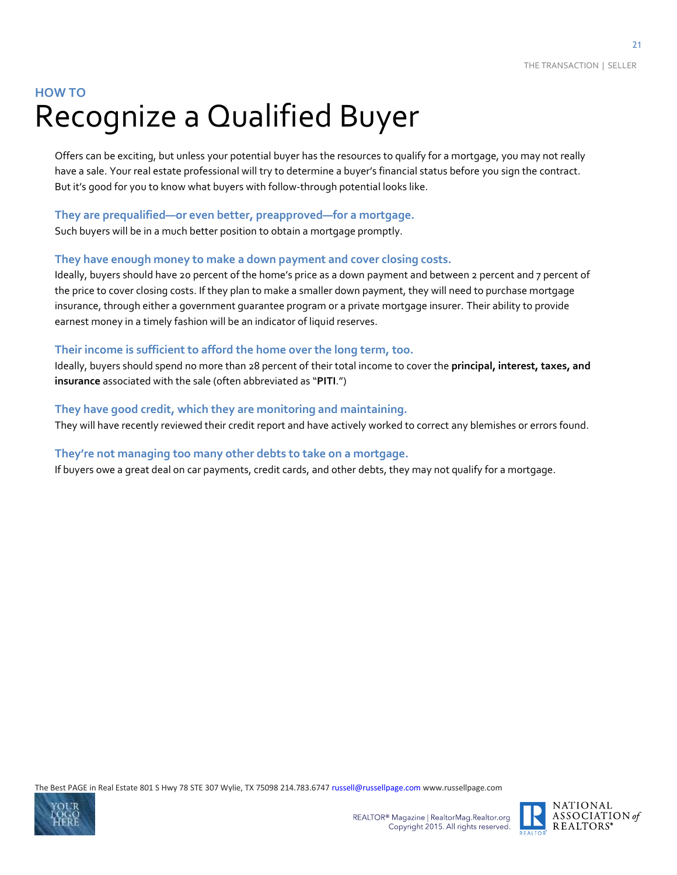### **HOW TO** Recognize a Qualified Buyer

Offers can be exciting, but unless your potential buyer has the resources to qualify for a mortgage, you may not really have a sale. Your real estate professional will try to determine a buyer's financial status before you sign the contract. But it's good for you to know what buyers with follow-through potential looks like.

#### **They are prequalified—or even better, preapproved—for a mortgage.**

Such buyers will be in a much better position to obtain a mortgage promptly.

#### **They have enough money to make a down payment and cover closing costs.**

Ideally, buyers should have 20 percent of the home's price as a down payment and between 2 percent and 7 percent of the price to cover closing costs. If they plan to make a smaller down payment, they will need to purchase mortgage insurance, through either a government guarantee program or a private mortgage insurer. Their ability to provide earnest money in a timely fashion will be an indicator of liquid reserves.

#### **Their income is sufficient to afford the home over the long term, too.**

Ideally, buyers should spend no more than 28 percent of their total income to cover the **principal, interest, taxes, and insurance** associated with the sale (often abbreviated as "**PITI**.")

#### **They have good credit, which they are monitoring and maintaining.**

They will have recently reviewed their credit report and have actively worked to correct any blemishes or errors found.

#### **They're not managing too many other debts to take on a mortgage.**

If buyers owe a great deal on car payments, credit cards, and other debts, they may not qualify for a mortgage.



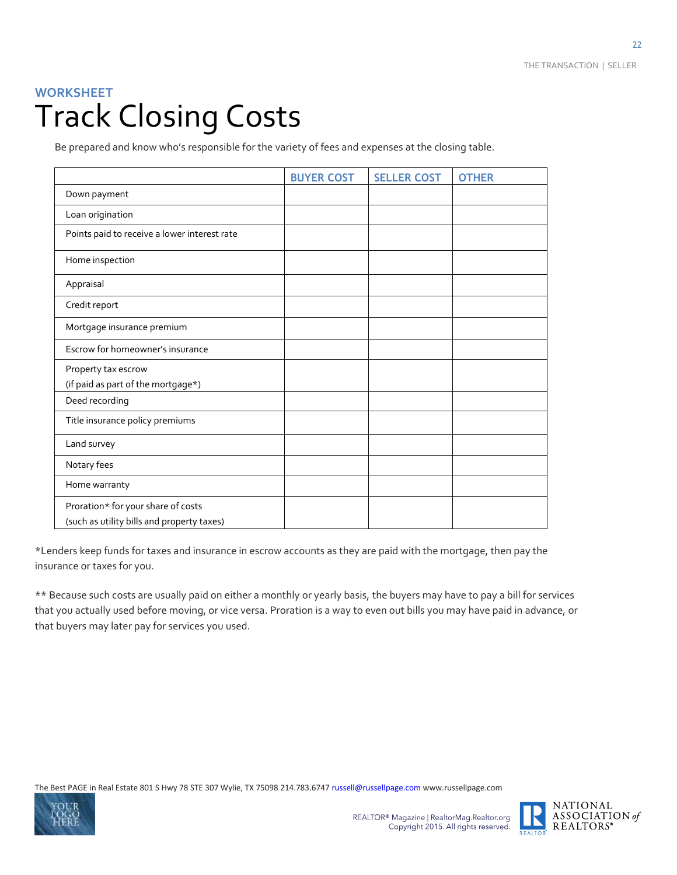### **WORKSHEET** Track Closing Costs

Be prepared and know who's responsible for the variety of fees and expenses at the closing table.

|                                                                                  | <b>BUYER COST</b> | <b>SELLER COST</b> | <b>OTHER</b> |
|----------------------------------------------------------------------------------|-------------------|--------------------|--------------|
| Down payment                                                                     |                   |                    |              |
| Loan origination                                                                 |                   |                    |              |
| Points paid to receive a lower interest rate                                     |                   |                    |              |
| Home inspection                                                                  |                   |                    |              |
| Appraisal                                                                        |                   |                    |              |
| Credit report                                                                    |                   |                    |              |
| Mortgage insurance premium                                                       |                   |                    |              |
| Escrow for homeowner's insurance                                                 |                   |                    |              |
| Property tax escrow                                                              |                   |                    |              |
| (if paid as part of the mortgage*)                                               |                   |                    |              |
| Deed recording                                                                   |                   |                    |              |
| Title insurance policy premiums                                                  |                   |                    |              |
| Land survey                                                                      |                   |                    |              |
| Notary fees                                                                      |                   |                    |              |
| Home warranty                                                                    |                   |                    |              |
| Proration* for your share of costs<br>(such as utility bills and property taxes) |                   |                    |              |

\*Lenders keep funds for taxes and insurance in escrow accounts as they are paid with the mortgage, then pay the insurance or taxes for you.

\*\* Because such costs are usually paid on either a monthly or yearly basis, the buyers may have to pay a bill for services that you actually used before moving, or vice versa. Proration is a way to even out bills you may have paid in advance, or that buyers may later pay for services you used.



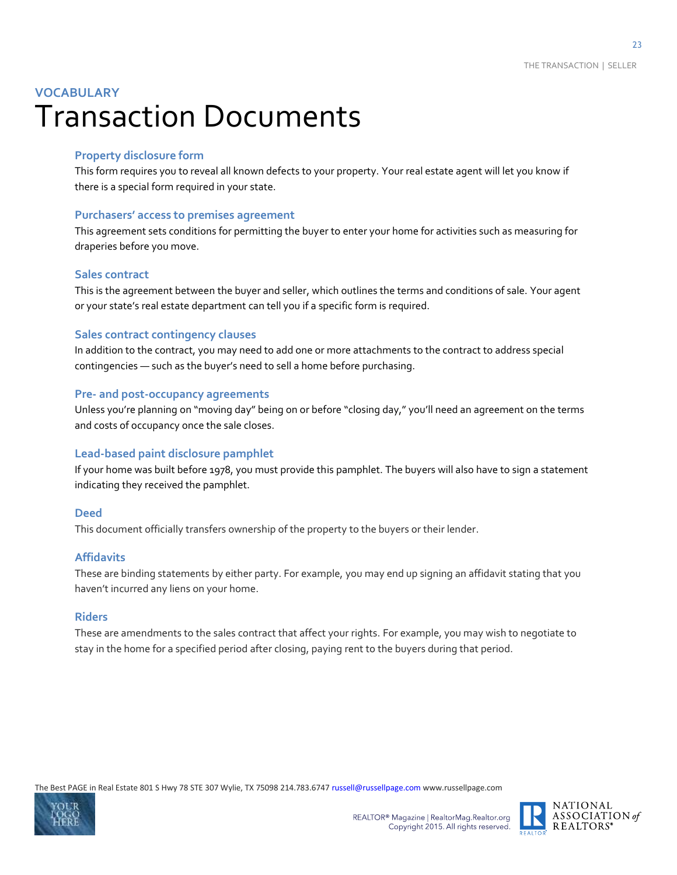### **VOCABULARY** Transaction Documents

#### **Property disclosure form**

This form requires you to reveal all known defects to your property. Your real estate agent will let you know if there is a special form required in your state.

#### **Purchasers' access to premises agreement**

This agreement sets conditions for permitting the buyer to enter your home for activities such as measuring for draperies before you move.

#### **Sales contract**

This is the agreement between the buyer and seller, which outlines the terms and conditions of sale. Your agent or your state's real estate department can tell you if a specific form is required.

#### **Sales contract contingency clauses**

In addition to the contract, you may need to add one or more attachments to the contract to address special contingencies — such as the buyer's need to sell a home before purchasing.

#### **Pre- and post-occupancy agreements**

Unless you're planning on "moving day" being on or before "closing day," you'll need an agreement on the terms and costs of occupancy once the sale closes.

#### **Lead-based paint disclosure pamphlet**

If your home was built before 1978, you must provide this pamphlet. The buyers will also have to sign a statement indicating they received the pamphlet.

#### **Deed**

This document officially transfers ownership of the property to the buyers or their lender.

#### **Affidavits**

These are binding statements by either party. For example, you may end up signing an affidavit stating that you haven't incurred any liens on your home.

#### **Riders**

These are amendments to the sales contract that affect your rights. For example, you may wish to negotiate to stay in the home for a specified period after closing, paying rent to the buyers during that period.





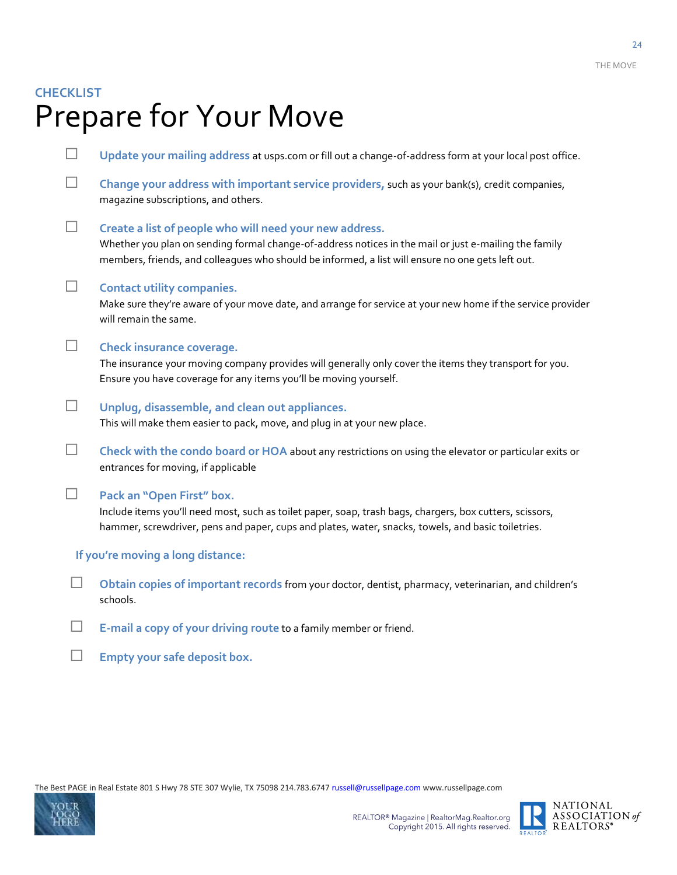### **CHECKLIST** Prepare for Your Move

 **Update your mailing address** at usps.com or fill out a change-of-address form at your local post office. **Change your address with important service providers,** such as your bank(s), credit companies, magazine subscriptions, and others. **Create a list of people who will need your new address.** Whether you plan on sending formal change-of-address notices in the mail or just e-mailing the family members, friends, and colleagues who should be informed, a list will ensure no one gets left out. **Contact utility companies.**  Make sure they're aware of your move date, and arrange for service at your new home if the service provider will remain the same. **Check insurance coverage.** The insurance your moving company provides will generally only cover the items they transport for you. Ensure you have coverage for any items you'll be moving yourself. **Unplug, disassemble, and clean out appliances.** This will make them easier to pack, move, and plug in at your new place. **Check with the condo board or HOA** about any restrictions on using the elevator or particular exits or entrances for moving, if applicable **Pack an "Open First" box.** Include items you'll need most, such as toilet paper, soap, trash bags, chargers, box cutters, scissors, hammer, screwdriver, pens and paper, cups and plates, water, snacks, towels, and basic toiletries. **If you're moving a long distance: Obtain copies of important records** from your doctor, dentist, pharmacy, veterinarian, and children's schools. **E-mail a copy of your driving route** to a family member or friend.

**Empty your safe deposit box.**





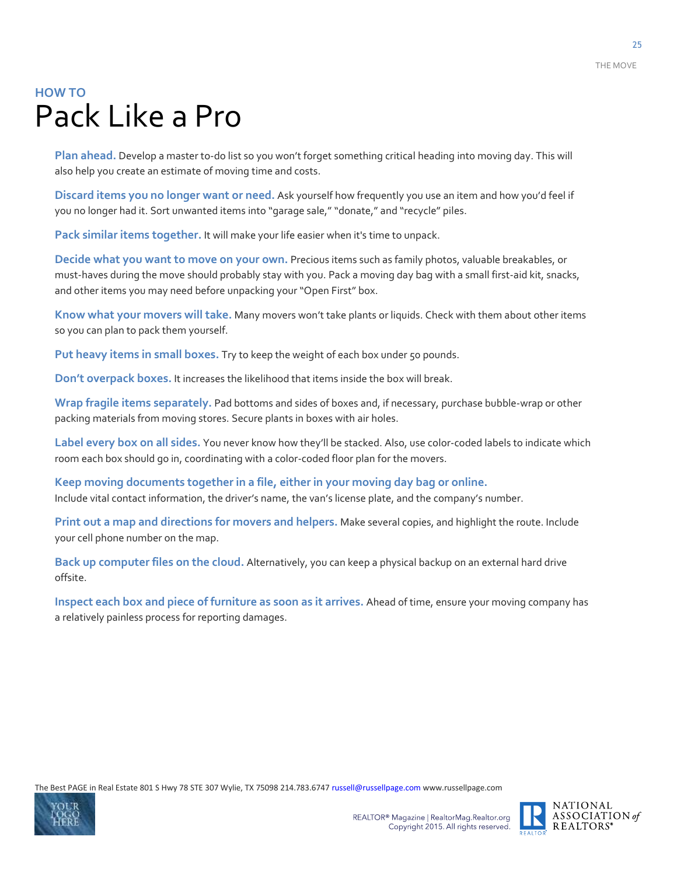### **HOW TO** Pack Like a Pro

**Plan ahead.** Develop a master to-do list so you won't forget something critical heading into moving day. This will also help you create an estimate of moving time and costs.

**Discard items you no longer want or need.** Ask yourself how frequently you use an item and how you'd feel if you no longer had it. Sort unwanted items into "garage sale," "donate," and "recycle" piles.

**Pack similar items together.** It will make your life easier when it's time to unpack.

**Decide what you want to move on your own.** Precious items such as family photos, valuable breakables, or must-haves during the move should probably stay with you. Pack a moving day bag with a small first-aid kit, snacks, and other items you may need before unpacking your "Open First" box.

**Know what your movers will take.** Many movers won't take plants or liquids. Check with them about other items so you can plan to pack them yourself.

**Put heavy items in small boxes.** Try to keep the weight of each box under 50 pounds.

**Don't overpack boxes.** It increases the likelihood that items inside the box will break.

**Wrap fragile items separately.** Pad bottoms and sides of boxes and, if necessary, purchase bubble-wrap or other packing materials from moving stores. Secure plants in boxes with air holes.

**Label every box on all sides.** You never know how they'll be stacked. Also, use color-coded labels to indicate which room each box should go in, coordinating with a color-coded floor plan for the movers.

**Keep moving documents together in a file, either in your moving day bag or online.** Include vital contact information, the driver's name, the van's license plate, and the company's number.

**Print out a map and directions for movers and helpers.** Make several copies, and highlight the route. Include your cell phone number on the map.

**Back up computer files on the cloud.** Alternatively, you can keep a physical backup on an external hard drive offsite.

**Inspect each box and piece of furniture as soon as it arrives.** Ahead of time, ensure your moving company has a relatively painless process for reporting damages.



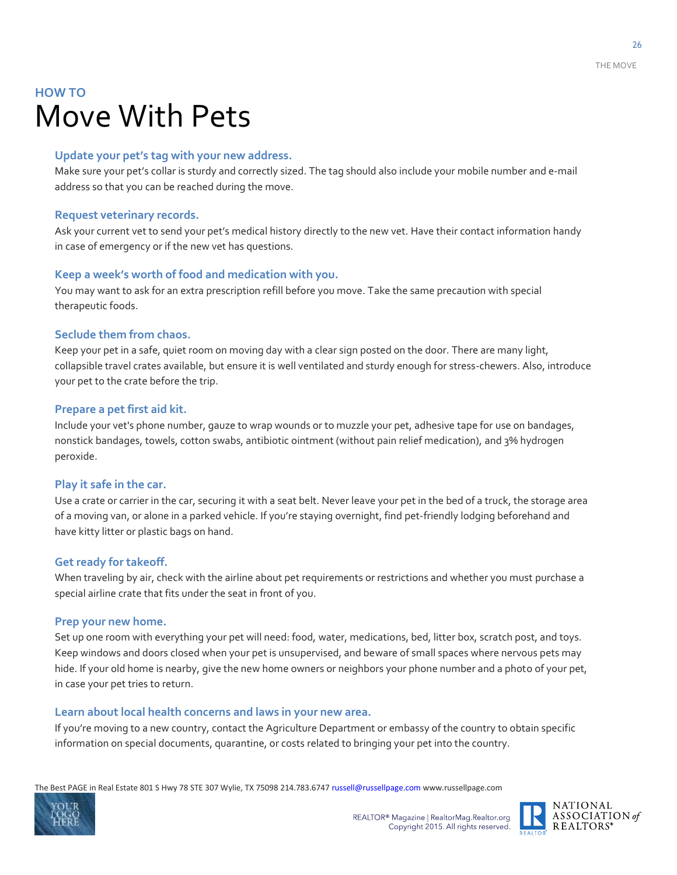### **HOW TO** Move With Pets

#### **Update your pet's tag with your new address.**

Make sure your pet's collar is sturdy and correctly sized. The tag should also include your mobile number and e-mail address so that you can be reached during the move.

#### **Request veterinary records.**

Ask your current vet to send your pet's medical history directly to the new vet. Have their contact information handy in case of emergency or if the new vet has questions.

#### **Keep a week's worth of food and medication with you.**

You may want to ask for an extra prescription refill before you move. Take the same precaution with special therapeutic foods.

#### **Seclude them from chaos.**

Keep your pet in a safe, quiet room on moving day with a clear sign posted on the door. There are many light, collapsible travel crates available, but ensure it is well ventilated and sturdy enough for stress-chewers. Also, introduce your pet to the crate before the trip.

#### **Prepare a pet first aid kit.**

Include your vet's phone number, gauze to wrap wounds or to muzzle your pet, adhesive tape for use on bandages, nonstick bandages, towels, cotton swabs, antibiotic ointment (without pain relief medication), and 3% hydrogen peroxide.

#### **Play it safe in the car.**

Use a crate or carrier in the car, securing it with a seat belt. Never leave your pet in the bed of a truck, the storage area of a moving van, or alone in a parked vehicle. If you're staying overnight, find pet-friendly lodging beforehand and have kitty litter or plastic bags on hand.

#### **Get ready for takeoff.**

When traveling by air, check with the airline about pet requirements or restrictions and whether you must purchase a special airline crate that fits under the seat in front of you.

#### **Prep your new home.**

Set up one room with everything your pet will need: food, water, medications, bed, litter box, scratch post, and toys. Keep windows and doors closed when your pet is unsupervised, and beware of small spaces where nervous pets may hide. If your old home is nearby, give the new home owners or neighbors your phone number and a photo of your pet, in case your pet tries to return.

#### **Learn about local health concerns and laws in your new area.**

If you're moving to a new country, contact the Agriculture Department or embassy of the country to obtain specific information on special documents, quarantine, or costs related to bringing your pet into the country.